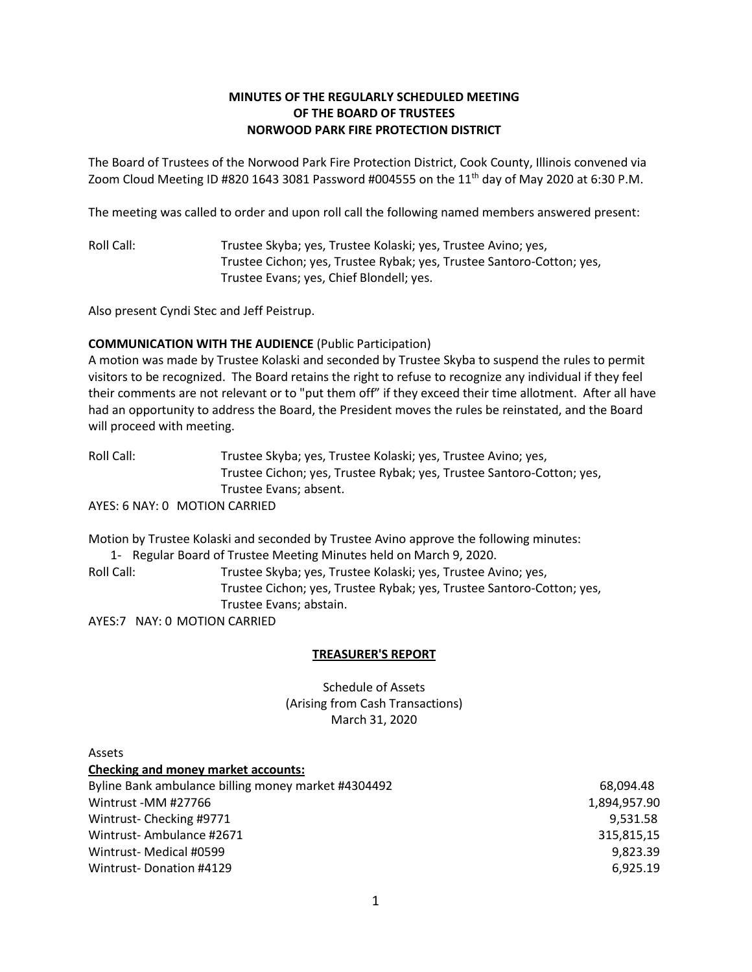# **MINUTES OF THE REGULARLY SCHEDULED MEETING OF THE BOARD OF TRUSTEES NORWOOD PARK FIRE PROTECTION DISTRICT**

The Board of Trustees of the Norwood Park Fire Protection District, Cook County, Illinois convened via Zoom Cloud Meeting ID #820 1643 3081 Password #004555 on the 11<sup>th</sup> day of May 2020 at 6:30 P.M.

The meeting was called to order and upon roll call the following named members answered present:

Roll Call: Trustee Skyba; yes, Trustee Kolaski; yes, Trustee Avino; yes, Trustee Cichon; yes, Trustee Rybak; yes, Trustee Santoro-Cotton; yes, Trustee Evans; yes, Chief Blondell; yes.

Also present Cyndi Stec and Jeff Peistrup.

### **COMMUNICATION WITH THE AUDIENCE** (Public Participation)

A motion was made by Trustee Kolaski and seconded by Trustee Skyba to suspend the rules to permit visitors to be recognized. The Board retains the right to refuse to recognize any individual if they feel their comments are not relevant or to "put them off" if they exceed their time allotment. After all have had an opportunity to address the Board, the President moves the rules be reinstated, and the Board will proceed with meeting.

Roll Call: Trustee Skyba; yes, Trustee Kolaski; yes, Trustee Avino; yes, Trustee Cichon; yes, Trustee Rybak; yes, Trustee Santoro-Cotton; yes, Trustee Evans; absent.

AYES: 6 NAY: 0 MOTION CARRIED

Motion by Trustee Kolaski and seconded by Trustee Avino approve the following minutes:

1- Regular Board of Trustee Meeting Minutes held on March 9, 2020. Roll Call: Trustee Skyba; yes, Trustee Kolaski; yes, Trustee Avino; yes, Trustee Cichon; yes, Trustee Rybak; yes, Trustee Santoro-Cotton; yes, Trustee Evans; abstain. AYES:7 NAY: 0 MOTION CARRIED

**TREASURER'S REPORT**

Schedule of Assets (Arising from Cash Transactions) March 31, 2020

| Assets                                              |              |
|-----------------------------------------------------|--------------|
| <b>Checking and money market accounts:</b>          |              |
| Byline Bank ambulance billing money market #4304492 | 68,094.48    |
| Wintrust -MM #27766                                 | 1,894,957.90 |
| Wintrust-Checking #9771                             | 9,531.58     |
| Wintrust-Ambulance #2671                            | 315,815,15   |
| Wintrust- Medical #0599                             | 9,823.39     |
| Wintrust-Donation #4129                             | 6.925.19     |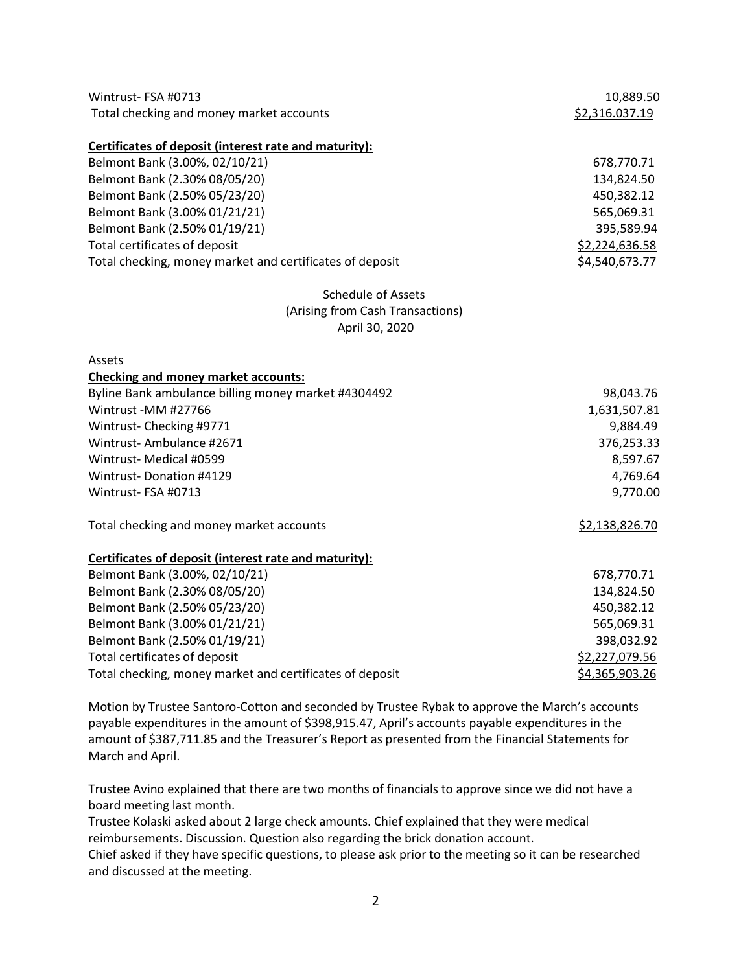| Wintrust-FSA #0713<br>Total checking and money market accounts                                                                                                                                                                                                                                                           | 10,889.50<br>\$2,316.037.19                                                                            |
|--------------------------------------------------------------------------------------------------------------------------------------------------------------------------------------------------------------------------------------------------------------------------------------------------------------------------|--------------------------------------------------------------------------------------------------------|
| Certificates of deposit (interest rate and maturity):<br>Belmont Bank (3.00%, 02/10/21)<br>Belmont Bank (2.30% 08/05/20)<br>Belmont Bank (2.50% 05/23/20)<br>Belmont Bank (3.00% 01/21/21)<br>Belmont Bank (2.50% 01/19/21)<br>Total certificates of deposit<br>Total checking, money market and certificates of deposit | 678,770.71<br>134,824.50<br>450,382.12<br>565,069.31<br>395,589.94<br>\$2,224,636.58<br>\$4,540,673.77 |
| <b>Schedule of Assets</b><br>(Arising from Cash Transactions)<br>April 30, 2020                                                                                                                                                                                                                                          |                                                                                                        |
| Assets<br><b>Checking and money market accounts:</b><br>Byline Bank ambulance billing money market #4304492<br>Wintrust-MM #27766<br>Wintrust-Checking #9771<br>Wintrust-Ambulance #2671<br>Wintrust- Medical #0599<br><b>Wintrust-Donation #4129</b><br>Wintrust-FSA #0713                                              | 98,043.76<br>1,631,507.81<br>9,884.49<br>376,253.33<br>8,597.67<br>4,769.64<br>9,770.00                |
| Total checking and money market accounts                                                                                                                                                                                                                                                                                 | \$2,138,826.70                                                                                         |
| Certificates of deposit (interest rate and maturity):                                                                                                                                                                                                                                                                    |                                                                                                        |
| Belmont Bank (3.00%, 02/10/21)                                                                                                                                                                                                                                                                                           | 678,770.71                                                                                             |
| Belmont Bank (2.30% 08/05/20)                                                                                                                                                                                                                                                                                            | 134,824.50                                                                                             |
| Belmont Bank (2.50% 05/23/20)<br>Belmont Bank (3.00% 01/21/21)                                                                                                                                                                                                                                                           | 450,382.12<br>565,069.31                                                                               |
| Belmont Bank (2.50% 01/19/21)                                                                                                                                                                                                                                                                                            | 398,032.92                                                                                             |
| Total certificates of deposit                                                                                                                                                                                                                                                                                            | \$2,227,079.56                                                                                         |
| Total checking, money market and certificates of deposit                                                                                                                                                                                                                                                                 | \$4,365,903.26                                                                                         |

Motion by Trustee Santoro-Cotton and seconded by Trustee Rybak to approve the March's accounts payable expenditures in the amount of \$398,915.47, April's accounts payable expenditures in the amount of \$387,711.85 and the Treasurer's Report as presented from the Financial Statements for March and April.

Trustee Avino explained that there are two months of financials to approve since we did not have a board meeting last month.

Trustee Kolaski asked about 2 large check amounts. Chief explained that they were medical reimbursements. Discussion. Question also regarding the brick donation account.

Chief asked if they have specific questions, to please ask prior to the meeting so it can be researched and discussed at the meeting.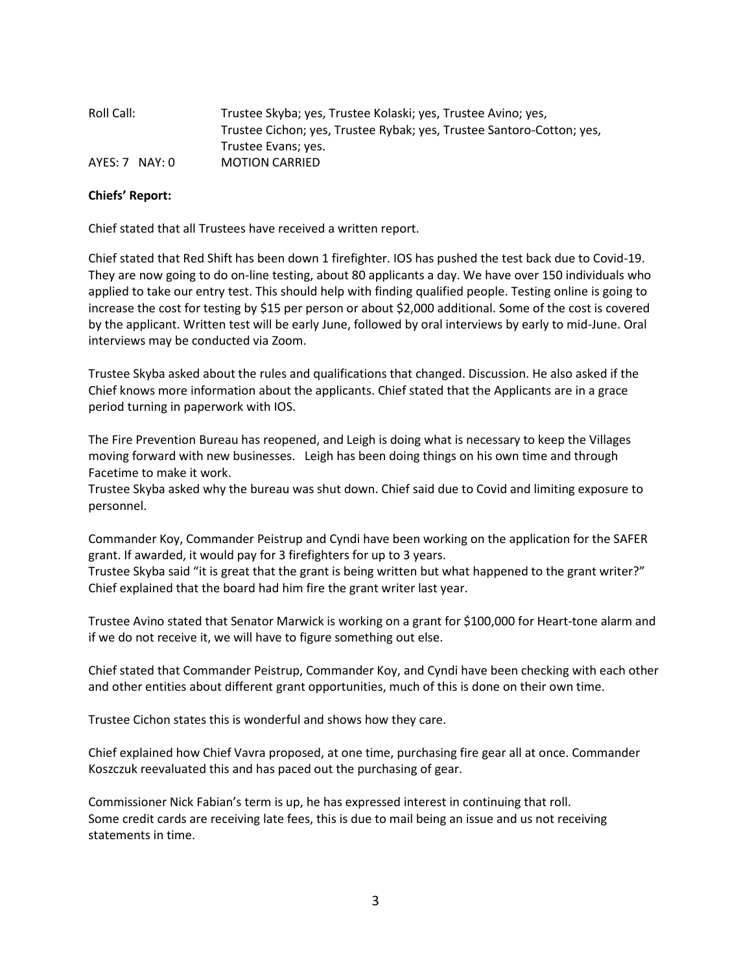| Roll Call:         | Trustee Skyba; yes, Trustee Kolaski; yes, Trustee Avino; yes,         |
|--------------------|-----------------------------------------------------------------------|
|                    | Trustee Cichon; yes, Trustee Rybak; yes, Trustee Santoro-Cotton; yes, |
|                    | Trustee Evans; yes.                                                   |
| $AYES: 7$ $NAY: 0$ | <b>MOTION CARRIED</b>                                                 |

#### **Chiefs' Report:**

Chief stated that all Trustees have received a written report.

Chief stated that Red Shift has been down 1 firefighter. IOS has pushed the test back due to Covid-19. They are now going to do on-line testing, about 80 applicants a day. We have over 150 individuals who applied to take our entry test. This should help with finding qualified people. Testing online is going to increase the cost for testing by \$15 per person or about \$2,000 additional. Some of the cost is covered by the applicant. Written test will be early June, followed by oral interviews by early to mid-June. Oral interviews may be conducted via Zoom.

Trustee Skyba asked about the rules and qualifications that changed. Discussion. He also asked if the Chief knows more information about the applicants. Chief stated that the Applicants are in a grace period turning in paperwork with IOS.

The Fire Prevention Bureau has reopened, and Leigh is doing what is necessary to keep the Villages moving forward with new businesses. Leigh has been doing things on his own time and through Facetime to make it work.

Trustee Skyba asked why the bureau was shut down. Chief said due to Covid and limiting exposure to personnel.

Commander Koy, Commander Peistrup and Cyndi have been working on the application for the SAFER grant. If awarded, it would pay for 3 firefighters for up to 3 years.

Trustee Skyba said "it is great that the grant is being written but what happened to the grant writer?" Chief explained that the board had him fire the grant writer last year.

Trustee Avino stated that Senator Marwick is working on a grant for \$100,000 for Heart-tone alarm and if we do not receive it, we will have to figure something out else.

Chief stated that Commander Peistrup, Commander Koy, and Cyndi have been checking with each other and other entities about different grant opportunities, much of this is done on their own time.

Trustee Cichon states this is wonderful and shows how they care.

Chief explained how Chief Vavra proposed, at one time, purchasing fire gear all at once. Commander Koszczuk reevaluated this and has paced out the purchasing of gear.

Commissioner Nick Fabian's term is up, he has expressed interest in continuing that roll. Some credit cards are receiving late fees, this is due to mail being an issue and us not receiving statements in time.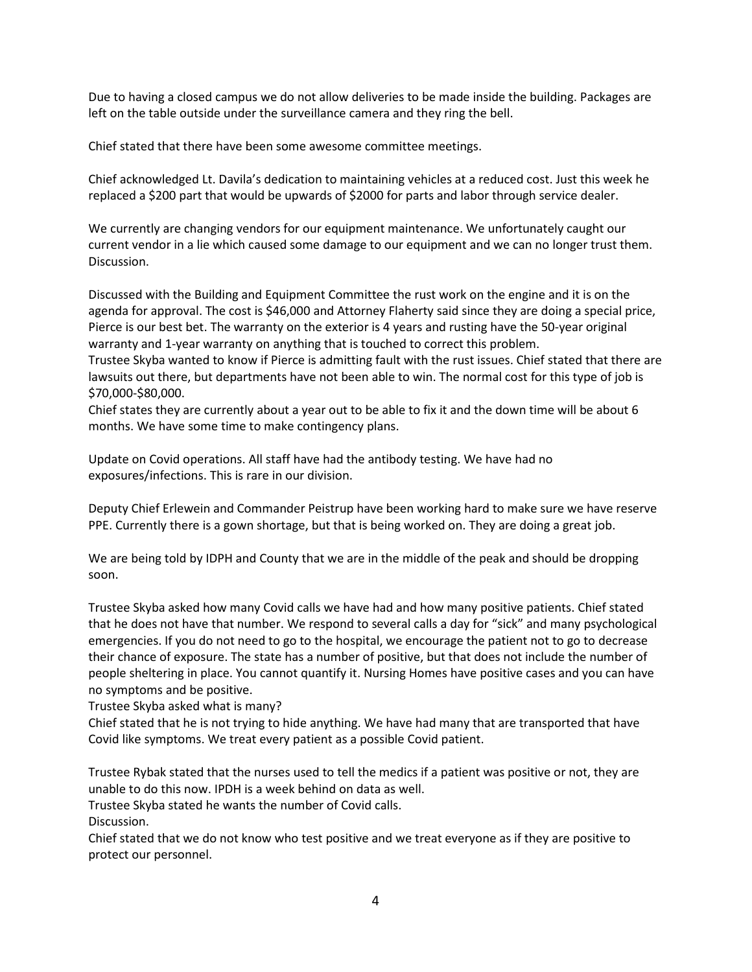Due to having a closed campus we do not allow deliveries to be made inside the building. Packages are left on the table outside under the surveillance camera and they ring the bell.

Chief stated that there have been some awesome committee meetings.

Chief acknowledged Lt. Davila's dedication to maintaining vehicles at a reduced cost. Just this week he replaced a \$200 part that would be upwards of \$2000 for parts and labor through service dealer.

We currently are changing vendors for our equipment maintenance. We unfortunately caught our current vendor in a lie which caused some damage to our equipment and we can no longer trust them. Discussion.

Discussed with the Building and Equipment Committee the rust work on the engine and it is on the agenda for approval. The cost is \$46,000 and Attorney Flaherty said since they are doing a special price, Pierce is our best bet. The warranty on the exterior is 4 years and rusting have the 50-year original warranty and 1-year warranty on anything that is touched to correct this problem.

Trustee Skyba wanted to know if Pierce is admitting fault with the rust issues. Chief stated that there are lawsuits out there, but departments have not been able to win. The normal cost for this type of job is \$70,000-\$80,000.

Chief states they are currently about a year out to be able to fix it and the down time will be about 6 months. We have some time to make contingency plans.

Update on Covid operations. All staff have had the antibody testing. We have had no exposures/infections. This is rare in our division.

Deputy Chief Erlewein and Commander Peistrup have been working hard to make sure we have reserve PPE. Currently there is a gown shortage, but that is being worked on. They are doing a great job.

We are being told by IDPH and County that we are in the middle of the peak and should be dropping soon.

Trustee Skyba asked how many Covid calls we have had and how many positive patients. Chief stated that he does not have that number. We respond to several calls a day for "sick" and many psychological emergencies. If you do not need to go to the hospital, we encourage the patient not to go to decrease their chance of exposure. The state has a number of positive, but that does not include the number of people sheltering in place. You cannot quantify it. Nursing Homes have positive cases and you can have no symptoms and be positive.

Trustee Skyba asked what is many?

Chief stated that he is not trying to hide anything. We have had many that are transported that have Covid like symptoms. We treat every patient as a possible Covid patient.

Trustee Rybak stated that the nurses used to tell the medics if a patient was positive or not, they are unable to do this now. IPDH is a week behind on data as well.

Trustee Skyba stated he wants the number of Covid calls.

Discussion.

Chief stated that we do not know who test positive and we treat everyone as if they are positive to protect our personnel.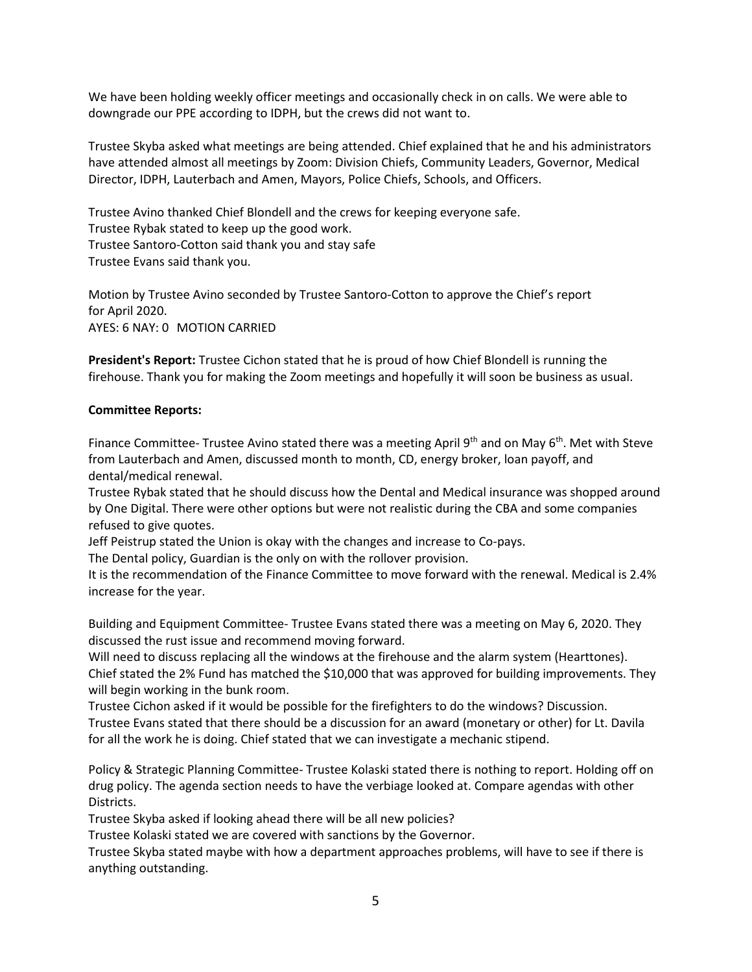We have been holding weekly officer meetings and occasionally check in on calls. We were able to downgrade our PPE according to IDPH, but the crews did not want to.

Trustee Skyba asked what meetings are being attended. Chief explained that he and his administrators have attended almost all meetings by Zoom: Division Chiefs, Community Leaders, Governor, Medical Director, IDPH, Lauterbach and Amen, Mayors, Police Chiefs, Schools, and Officers.

Trustee Avino thanked Chief Blondell and the crews for keeping everyone safe. Trustee Rybak stated to keep up the good work. Trustee Santoro-Cotton said thank you and stay safe Trustee Evans said thank you.

Motion by Trustee Avino seconded by Trustee Santoro-Cotton to approve the Chief's report for April 2020. AYES: 6 NAY: 0 MOTION CARRIED

**President's Report:** Trustee Cichon stated that he is proud of how Chief Blondell is running the firehouse. Thank you for making the Zoom meetings and hopefully it will soon be business as usual.

#### **Committee Reports:**

Finance Committee- Trustee Avino stated there was a meeting April  $9<sup>th</sup>$  and on May  $6<sup>th</sup>$ . Met with Steve from Lauterbach and Amen, discussed month to month, CD, energy broker, loan payoff, and dental/medical renewal.

Trustee Rybak stated that he should discuss how the Dental and Medical insurance was shopped around by One Digital. There were other options but were not realistic during the CBA and some companies refused to give quotes.

Jeff Peistrup stated the Union is okay with the changes and increase to Co-pays.

The Dental policy, Guardian is the only on with the rollover provision.

It is the recommendation of the Finance Committee to move forward with the renewal. Medical is 2.4% increase for the year.

Building and Equipment Committee- Trustee Evans stated there was a meeting on May 6, 2020. They discussed the rust issue and recommend moving forward.

Will need to discuss replacing all the windows at the firehouse and the alarm system (Hearttones). Chief stated the 2% Fund has matched the \$10,000 that was approved for building improvements. They will begin working in the bunk room.

Trustee Cichon asked if it would be possible for the firefighters to do the windows? Discussion. Trustee Evans stated that there should be a discussion for an award (monetary or other) for Lt. Davila for all the work he is doing. Chief stated that we can investigate a mechanic stipend.

Policy & Strategic Planning Committee- Trustee Kolaski stated there is nothing to report. Holding off on drug policy. The agenda section needs to have the verbiage looked at. Compare agendas with other Districts.

Trustee Skyba asked if looking ahead there will be all new policies?

Trustee Kolaski stated we are covered with sanctions by the Governor.

Trustee Skyba stated maybe with how a department approaches problems, will have to see if there is anything outstanding.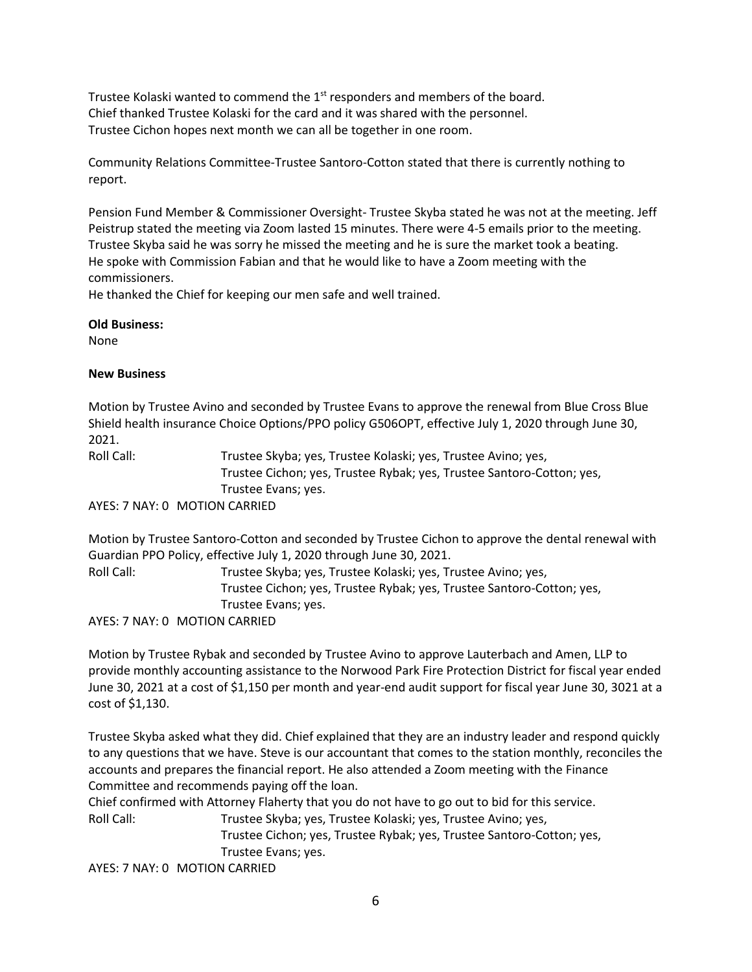Trustee Kolaski wanted to commend the 1<sup>st</sup> responders and members of the board. Chief thanked Trustee Kolaski for the card and it was shared with the personnel. Trustee Cichon hopes next month we can all be together in one room.

Community Relations Committee-Trustee Santoro-Cotton stated that there is currently nothing to report.

Pension Fund Member & Commissioner Oversight- Trustee Skyba stated he was not at the meeting. Jeff Peistrup stated the meeting via Zoom lasted 15 minutes. There were 4-5 emails prior to the meeting. Trustee Skyba said he was sorry he missed the meeting and he is sure the market took a beating. He spoke with Commission Fabian and that he would like to have a Zoom meeting with the commissioners.

He thanked the Chief for keeping our men safe and well trained.

### **Old Business:**

None

# **New Business**

Motion by Trustee Avino and seconded by Trustee Evans to approve the renewal from Blue Cross Blue Shield health insurance Choice Options/PPO policy G506OPT, effective July 1, 2020 through June 30, 2021.

Roll Call: Trustee Skyba; yes, Trustee Kolaski; yes, Trustee Avino; yes, Trustee Cichon; yes, Trustee Rybak; yes, Trustee Santoro-Cotton; yes, Trustee Evans; yes.

AYES: 7 NAY: 0 MOTION CARRIED

Motion by Trustee Santoro-Cotton and seconded by Trustee Cichon to approve the dental renewal with Guardian PPO Policy, effective July 1, 2020 through June 30, 2021. Roll Call: Trustee Skyba; yes, Trustee Kolaski; yes, Trustee Avino; yes, Trustee Cichon; yes, Trustee Rybak; yes, Trustee Santoro-Cotton; yes, Trustee Evans; yes.

AYES: 7 NAY: 0 MOTION CARRIED

Motion by Trustee Rybak and seconded by Trustee Avino to approve Lauterbach and Amen, LLP to provide monthly accounting assistance to the Norwood Park Fire Protection District for fiscal year ended June 30, 2021 at a cost of \$1,150 per month and year-end audit support for fiscal year June 30, 3021 at a cost of \$1,130.

Trustee Skyba asked what they did. Chief explained that they are an industry leader and respond quickly to any questions that we have. Steve is our accountant that comes to the station monthly, reconciles the accounts and prepares the financial report. He also attended a Zoom meeting with the Finance Committee and recommends paying off the loan.

Chief confirmed with Attorney Flaherty that you do not have to go out to bid for this service.

Roll Call: Trustee Skyba; yes, Trustee Kolaski; yes, Trustee Avino; yes, Trustee Cichon; yes, Trustee Rybak; yes, Trustee Santoro-Cotton; yes, Trustee Evans; yes.

AYES: 7 NAY: 0 MOTION CARRIED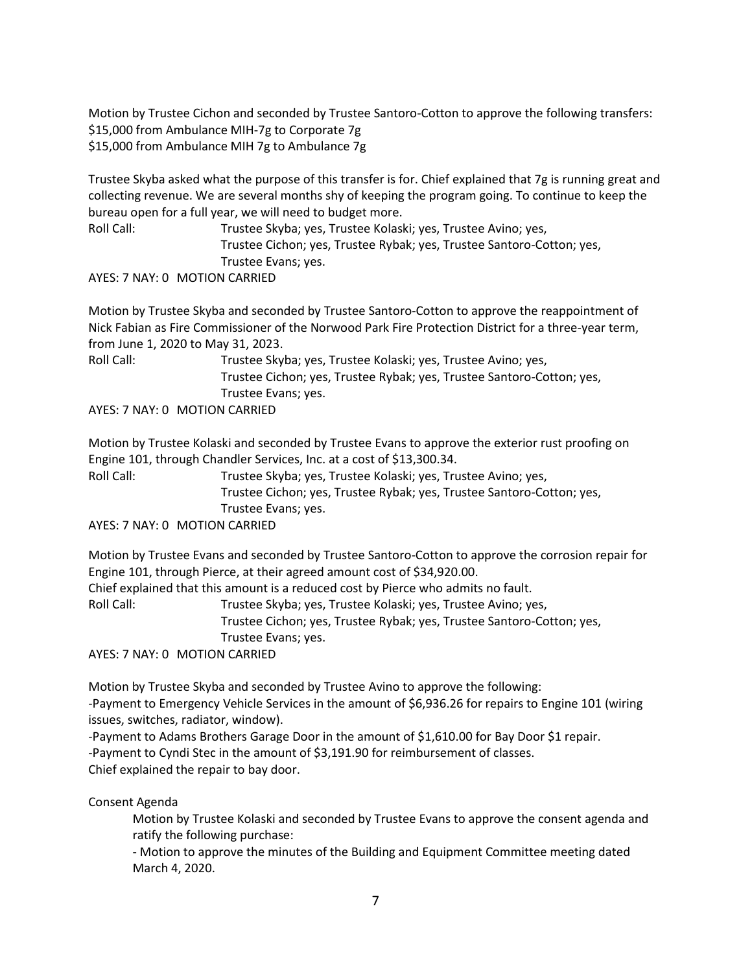Motion by Trustee Cichon and seconded by Trustee Santoro-Cotton to approve the following transfers: \$15,000 from Ambulance MIH-7g to Corporate 7g \$15,000 from Ambulance MIH 7g to Ambulance 7g

Trustee Skyba asked what the purpose of this transfer is for. Chief explained that 7g is running great and collecting revenue. We are several months shy of keeping the program going. To continue to keep the bureau open for a full year, we will need to budget more.

Roll Call: Trustee Skyba; yes, Trustee Kolaski; yes, Trustee Avino; yes, Trustee Cichon; yes, Trustee Rybak; yes, Trustee Santoro-Cotton; yes, Trustee Evans; yes.

AYES: 7 NAY: 0 MOTION CARRIED

Motion by Trustee Skyba and seconded by Trustee Santoro-Cotton to approve the reappointment of Nick Fabian as Fire Commissioner of the Norwood Park Fire Protection District for a three-year term, from June 1, 2020 to May 31, 2023.

Roll Call: Trustee Skyba; yes, Trustee Kolaski; yes, Trustee Avino; yes, Trustee Cichon; yes, Trustee Rybak; yes, Trustee Santoro-Cotton; yes, Trustee Evans; yes.

AYES: 7 NAY: 0 MOTION CARRIED

Motion by Trustee Kolaski and seconded by Trustee Evans to approve the exterior rust proofing on Engine 101, through Chandler Services, Inc. at a cost of \$13,300.34.

Roll Call: Trustee Skyba; yes, Trustee Kolaski; yes, Trustee Avino; yes, Trustee Cichon; yes, Trustee Rybak; yes, Trustee Santoro-Cotton; yes, Trustee Evans; yes.

AYES: 7 NAY: 0 MOTION CARRIED

Motion by Trustee Evans and seconded by Trustee Santoro-Cotton to approve the corrosion repair for Engine 101, through Pierce, at their agreed amount cost of \$34,920.00.

Chief explained that this amount is a reduced cost by Pierce who admits no fault.

Roll Call: Trustee Skyba; yes, Trustee Kolaski; yes, Trustee Avino; yes,

Trustee Cichon; yes, Trustee Rybak; yes, Trustee Santoro-Cotton; yes, Trustee Evans; yes.

AYES: 7 NAY: 0 MOTION CARRIED

Motion by Trustee Skyba and seconded by Trustee Avino to approve the following: -Payment to Emergency Vehicle Services in the amount of \$6,936.26 for repairs to Engine 101 (wiring issues, switches, radiator, window).

-Payment to Adams Brothers Garage Door in the amount of \$1,610.00 for Bay Door \$1 repair. -Payment to Cyndi Stec in the amount of \$3,191.90 for reimbursement of classes. Chief explained the repair to bay door.

Consent Agenda

Motion by Trustee Kolaski and seconded by Trustee Evans to approve the consent agenda and ratify the following purchase:

- Motion to approve the minutes of the Building and Equipment Committee meeting dated March 4, 2020.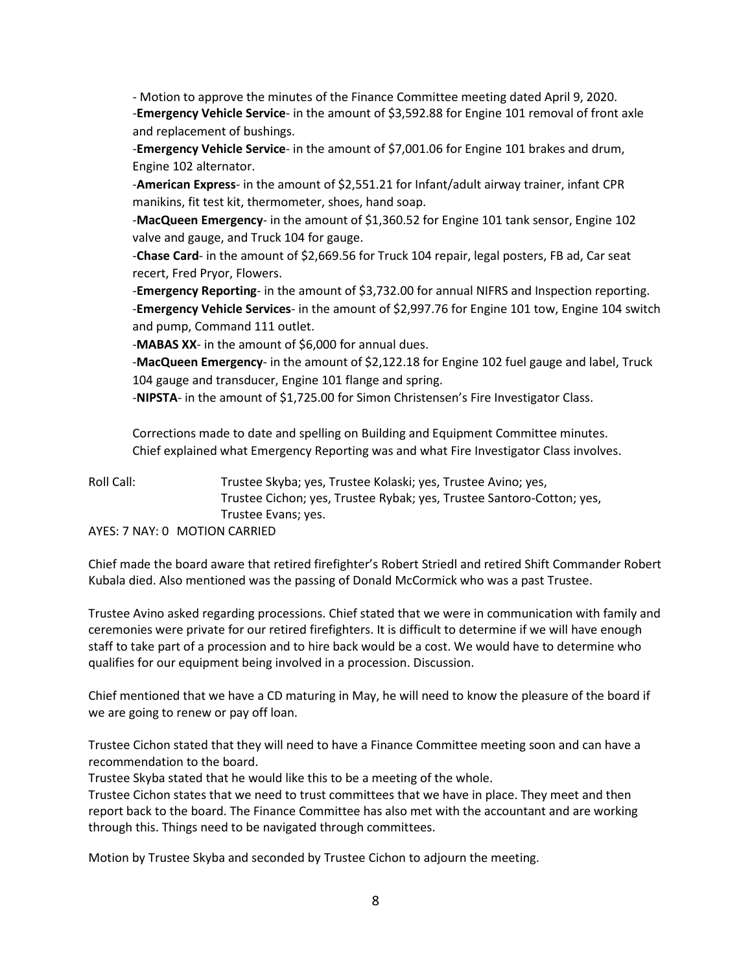- Motion to approve the minutes of the Finance Committee meeting dated April 9, 2020. -**Emergency Vehicle Service**- in the amount of \$3,592.88 for Engine 101 removal of front axle and replacement of bushings.

-**Emergency Vehicle Service**- in the amount of \$7,001.06 for Engine 101 brakes and drum, Engine 102 alternator.

-**American Express**- in the amount of \$2,551.21 for Infant/adult airway trainer, infant CPR manikins, fit test kit, thermometer, shoes, hand soap.

-**MacQueen Emergency**- in the amount of \$1,360.52 for Engine 101 tank sensor, Engine 102 valve and gauge, and Truck 104 for gauge.

-**Chase Card**- in the amount of \$2,669.56 for Truck 104 repair, legal posters, FB ad, Car seat recert, Fred Pryor, Flowers.

-**Emergency Reporting**- in the amount of \$3,732.00 for annual NIFRS and Inspection reporting. -**Emergency Vehicle Services**- in the amount of \$2,997.76 for Engine 101 tow, Engine 104 switch and pump, Command 111 outlet.

-**MABAS XX**- in the amount of \$6,000 for annual dues.

-**MacQueen Emergency**- in the amount of \$2,122.18 for Engine 102 fuel gauge and label, Truck 104 gauge and transducer, Engine 101 flange and spring.

-**NIPSTA**- in the amount of \$1,725.00 for Simon Christensen's Fire Investigator Class.

Corrections made to date and spelling on Building and Equipment Committee minutes. Chief explained what Emergency Reporting was and what Fire Investigator Class involves.

Roll Call: Trustee Skyba; yes, Trustee Kolaski; yes, Trustee Avino; yes, Trustee Cichon; yes, Trustee Rybak; yes, Trustee Santoro-Cotton; yes, Trustee Evans; yes. AYES: 7 NAY: 0 MOTION CARRIED

Chief made the board aware that retired firefighter's Robert Striedl and retired Shift Commander Robert Kubala died. Also mentioned was the passing of Donald McCormick who was a past Trustee.

Trustee Avino asked regarding processions. Chief stated that we were in communication with family and ceremonies were private for our retired firefighters. It is difficult to determine if we will have enough staff to take part of a procession and to hire back would be a cost. We would have to determine who qualifies for our equipment being involved in a procession. Discussion.

Chief mentioned that we have a CD maturing in May, he will need to know the pleasure of the board if we are going to renew or pay off loan.

Trustee Cichon stated that they will need to have a Finance Committee meeting soon and can have a recommendation to the board.

Trustee Skyba stated that he would like this to be a meeting of the whole.

Trustee Cichon states that we need to trust committees that we have in place. They meet and then report back to the board. The Finance Committee has also met with the accountant and are working through this. Things need to be navigated through committees.

Motion by Trustee Skyba and seconded by Trustee Cichon to adjourn the meeting.